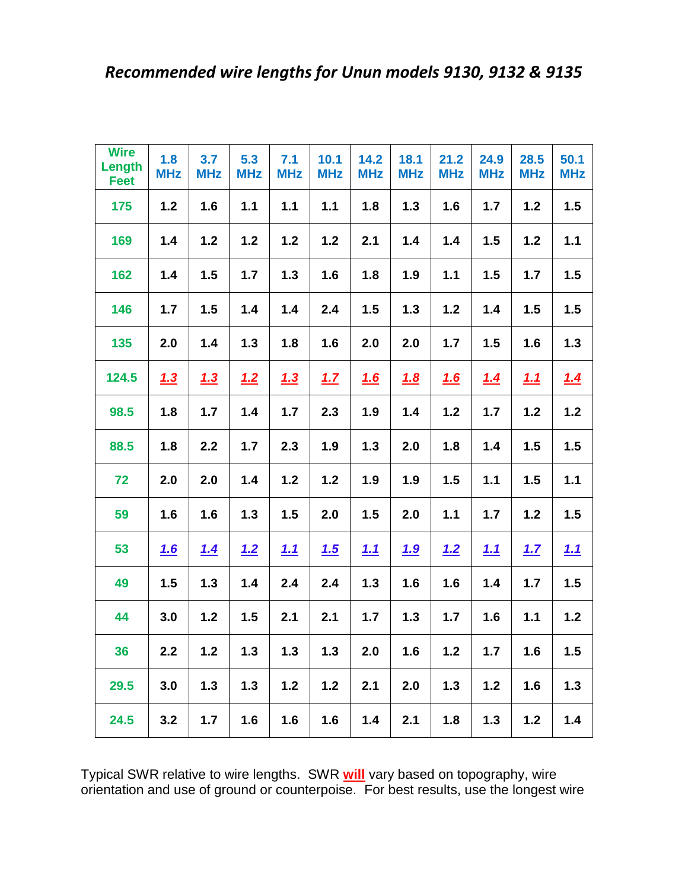| <b>Wire</b><br>Length<br><b>Feet</b> | 1.8<br><b>MHz</b> | 3.7<br><b>MHz</b> | 5.3<br><b>MHz</b> | 7.1<br><b>MHz</b> | 10.1<br><b>MHz</b> | 14.2<br><b>MHz</b> | 18.1<br><b>MHz</b> | 21.2<br><b>MHz</b> | 24.9<br><b>MHz</b> | 28.5<br><b>MHz</b> | 50.1<br><b>MHz</b> |
|--------------------------------------|-------------------|-------------------|-------------------|-------------------|--------------------|--------------------|--------------------|--------------------|--------------------|--------------------|--------------------|
| 175                                  | 1.2               | 1.6               | 1.1               | 1.1               | $1.1$              | 1.8                | 1.3                | 1.6                | 1.7                | 1.2                | 1.5                |
| 169                                  | 1.4               | 1.2               | 1.2               | 1.2               | 1.2                | 2.1                | 1.4                | 1.4                | 1.5                | 1.2                | 1.1                |
| 162                                  | 1.4               | 1.5               | 1.7               | 1.3               | 1.6                | 1.8                | 1.9                | $1.1$              | 1.5                | 1.7                | 1.5                |
| 146                                  | 1.7               | 1.5               | 1.4               | 1.4               | 2.4                | 1.5                | 1.3                | 1.2                | 1.4                | 1.5                | 1.5                |
| 135                                  | 2.0               | 1.4               | 1.3               | 1.8               | 1.6                | 2.0                | 2.0                | 1.7                | 1.5                | 1.6                | 1.3                |
| 124.5                                | 1.3               | 1.3               | 1.2               | 1.3               | 1.7                | 1.6                | 1.8                | <u>1.6</u>         | <u>1.4</u>         | <u>1.1</u>         | <u>1.4</u>         |
| 98.5                                 | 1.8               | 1.7               | 1.4               | 1.7               | 2.3                | 1.9                | 1.4                | 1.2                | 1.7                | 1.2                | 1.2                |
| 88.5                                 | 1.8               | 2.2               | 1.7               | 2.3               | 1.9                | 1.3                | 2.0                | 1.8                | 1.4                | 1.5                | 1.5                |
| 72                                   | 2.0               | 2.0               | 1.4               | 1.2               | 1.2                | 1.9                | 1.9                | 1.5                | 1.1                | 1.5                | 1.1                |
| 59                                   | 1.6               | 1.6               | 1.3               | 1.5               | 2.0                | 1.5                | 2.0                | 1.1                | 1.7                | 1.2                | 1.5                |
| 53                                   | <u>1.6</u>        | 1.4               | 1.2               | <u>1.1</u>        | 1.5                | <u>1.1</u>         | 1.9                | 1.2                | <u>1.1</u>         | <u>1.7</u>         | <u>1.1</u>         |
| 49                                   | 1.5               | 1.3               | 1.4               | 2.4               | 2.4                | 1.3                | 1.6                | 1.6                | 1.4                | 1.7                | 1.5                |
| 44                                   | 3.0               | 1.2               | 1.5               | 2.1               | 2.1                | 1.7                | 1.3                | 1.7                | 1.6                | 1.1                | 1.2                |
| 36                                   | 2.2               | 1.2               | 1.3               | 1.3               | 1.3                | 2.0                | 1.6                | 1.2                | 1.7                | 1.6                | 1.5                |
| 29.5                                 | 3.0               | 1.3               | $1.3$             | 1.2               | 1.2                | 2.1                | 2.0                | 1.3                | 1.2                | 1.6                | 1.3                |
| 24.5                                 | 3.2               | 1.7               | 1.6               | 1.6               | 1.6                | 1.4                | 2.1                | 1.8                | 1.3                | 1.2                | 1.4                |

Typical SWR relative to wire lengths. SWR **will** vary based on topography, wire orientation and use of ground or counterpoise. For best results, use the longest wire